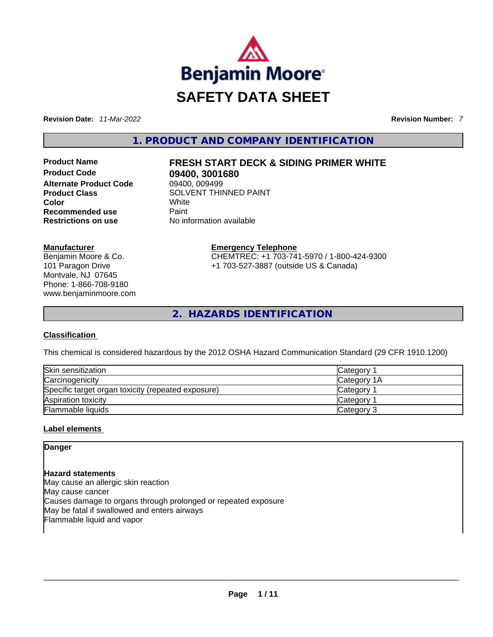

**Revision Date:** *11-Mar-2022* **Revision Number:** *7*

**1. PRODUCT AND COMPANY IDENTIFICATION** 

**Alternate Product Code Color** White **Recommended use Paint Restrictions on use** No information available

#### **Manufacturer**

Benjamin Moore & Co. 101 Paragon Drive Montvale, NJ 07645 Phone: 1-866-708-9180 www.benjaminmoore.com

# **Product Name FRESH START DECK & SIDING PRIMER WHITE**

**09400, 3001680**<br>09400, 009499 **Product Class SOLVENT THINNED PAINT** 

> **Emergency Telephone** CHEMTREC: +1 703-741-5970 / 1-800-424-9300 +1 703-527-3887 (outside US & Canada)

**2. HAZARDS IDENTIFICATION** 

#### **Classification**

This chemical is considered hazardous by the 2012 OSHA Hazard Communication Standard (29 CFR 1910.1200)

| Skin sensitization                                 | Category 1            |
|----------------------------------------------------|-----------------------|
| Carcinogenicity                                    | Category 1A           |
| Specific target organ toxicity (repeated exposure) | Category 1            |
| Aspiration toxicity                                | Category <sup>2</sup> |
| <b>Flammable liquids</b>                           | Category 3            |

#### **Label elements**

**Danger** 

#### **Hazard statements**

May cause an allergic skin reaction May cause cancer Causes damage to organs through prolonged or repeated exposure May be fatal if swallowed and enters airways Flammable liquid and vapor \_\_\_\_\_\_\_\_\_\_\_\_\_\_\_\_\_\_\_\_\_\_\_\_\_\_\_\_\_\_\_\_\_\_\_\_\_\_\_\_\_\_\_\_\_\_\_\_\_\_\_\_\_\_\_\_\_\_\_\_\_\_\_\_\_\_\_\_\_\_\_\_\_\_\_\_\_\_\_\_\_\_\_\_\_\_\_\_\_\_\_\_\_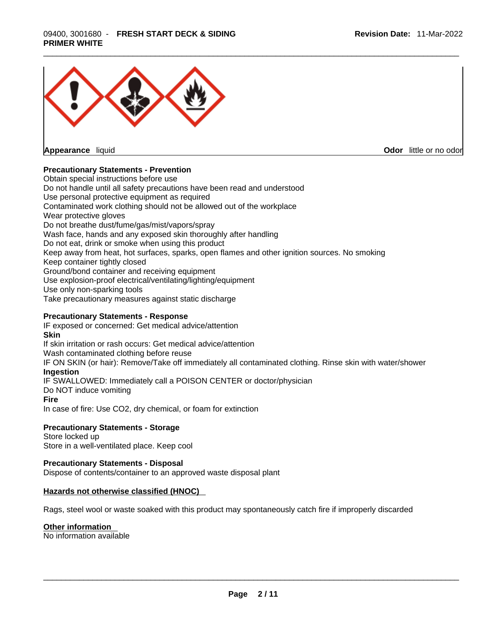

**Appearance** liquid

**Odor** little or no odor

#### **Precautionary Statements - Prevention**

Obtain special instructions before use Do not handle until all safety precautions have been read and understood Use personal protective equipment as required Contaminated work clothing should not be allowed out of the workplace Wear protective gloves Do not breathe dust/fume/gas/mist/vapors/spray Wash face, hands and any exposed skin thoroughly after handling Do not eat, drink or smoke when using this product Keep away from heat, hot surfaces, sparks, open flames and other ignition sources. No smoking Keep container tightly closed Ground/bond container and receiving equipment Use explosion-proof electrical/ventilating/lighting/equipment Use only non-sparking tools Take precautionary measures against static discharge

#### **Precautionary Statements - Response**

IF exposed or concerned: Get medical advice/attention **Skin** If skin irritation or rash occurs: Get medical advice/attention Wash contaminated clothing before reuse IF ON SKIN (or hair): Remove/Take off immediately all contaminated clothing. Rinse skin with water/shower **Ingestion** IF SWALLOWED: Immediately call a POISON CENTER or doctor/physician Do NOT induce vomiting

#### **Fire**

In case of fire: Use CO2, dry chemical, or foam for extinction

#### **Precautionary Statements - Storage**

Store locked up Store in a well-ventilated place. Keep cool

#### **Precautionary Statements - Disposal**

Dispose of contents/container to an approved waste disposal plant

#### **Hazards not otherwise classified (HNOC)**

Rags, steel wool or waste soaked with this product may spontaneously catch fire if improperly discarded

#### **Other information**

No information available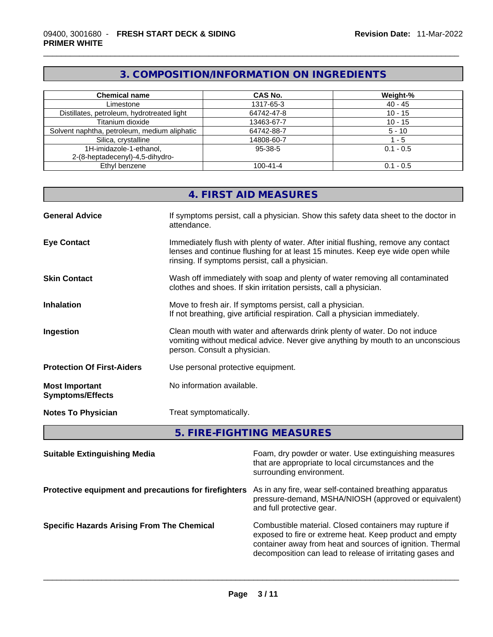## **3. COMPOSITION/INFORMATION ON INGREDIENTS**

| <b>Chemical name</b>                         | <b>CAS No.</b> | Weight-%    |
|----------------------------------------------|----------------|-------------|
| Limestone                                    | 1317-65-3      | $40 - 45$   |
| Distillates, petroleum, hydrotreated light   | 64742-47-8     | $10 - 15$   |
| Titanium dioxide                             | 13463-67-7     | $10 - 15$   |
| Solvent naphtha, petroleum, medium aliphatic | 64742-88-7     | $5 - 10$    |
| Silica, crystalline                          | 14808-60-7     | $-5$        |
| 1H-imidazole-1-ethanol,                      | 95-38-5        | $0.1 - 0.5$ |
| 2-(8-heptadecenyl)-4,5-dihydro-              |                |             |
| Ethyl benzene                                | $100 - 41 - 4$ | $0.1 - 0.5$ |

| 4. FIRST AID MEASURES |  |
|-----------------------|--|
|                       |  |

| <b>General Advice</b>                            | If symptoms persist, call a physician. Show this safety data sheet to the doctor in<br>attendance.                                                                                                                      |
|--------------------------------------------------|-------------------------------------------------------------------------------------------------------------------------------------------------------------------------------------------------------------------------|
| <b>Eye Contact</b>                               | Immediately flush with plenty of water. After initial flushing, remove any contact<br>lenses and continue flushing for at least 15 minutes. Keep eye wide open while<br>rinsing. If symptoms persist, call a physician. |
| <b>Skin Contact</b>                              | Wash off immediately with soap and plenty of water removing all contaminated<br>clothes and shoes. If skin irritation persists, call a physician.                                                                       |
| <b>Inhalation</b>                                | Move to fresh air. If symptoms persist, call a physician.<br>If not breathing, give artificial respiration. Call a physician immediately.                                                                               |
| Ingestion                                        | Clean mouth with water and afterwards drink plenty of water. Do not induce<br>vomiting without medical advice. Never give anything by mouth to an unconscious<br>person. Consult a physician.                           |
| <b>Protection Of First-Aiders</b>                | Use personal protective equipment.                                                                                                                                                                                      |
| <b>Most Important</b><br><b>Symptoms/Effects</b> | No information available.                                                                                                                                                                                               |
| <b>Notes To Physician</b>                        | Treat symptomatically.                                                                                                                                                                                                  |
|                                                  |                                                                                                                                                                                                                         |

**5. FIRE-FIGHTING MEASURES** 

| <b>Suitable Extinguishing Media</b>                   | Foam, dry powder or water. Use extinguishing measures<br>that are appropriate to local circumstances and the<br>surrounding environment.                                                                                                    |
|-------------------------------------------------------|---------------------------------------------------------------------------------------------------------------------------------------------------------------------------------------------------------------------------------------------|
| Protective equipment and precautions for firefighters | As in any fire, wear self-contained breathing apparatus<br>pressure-demand, MSHA/NIOSH (approved or equivalent)<br>and full protective gear.                                                                                                |
| <b>Specific Hazards Arising From The Chemical</b>     | Combustible material. Closed containers may rupture if<br>exposed to fire or extreme heat. Keep product and empty<br>container away from heat and sources of ignition. Thermal<br>decomposition can lead to release of irritating gases and |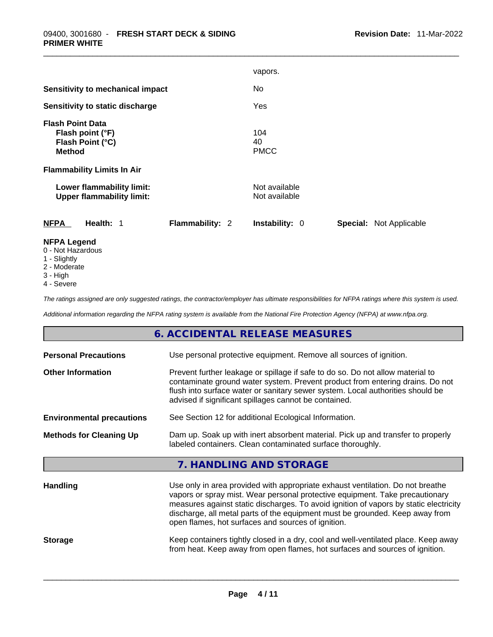|                                                                                  | vapors.                                                 |
|----------------------------------------------------------------------------------|---------------------------------------------------------|
| Sensitivity to mechanical impact                                                 | No.                                                     |
| Sensitivity to static discharge                                                  | Yes                                                     |
| <b>Flash Point Data</b><br>Flash point (°F)<br>Flash Point (°C)<br><b>Method</b> | 104<br>40<br><b>PMCC</b>                                |
| <b>Flammability Limits In Air</b>                                                |                                                         |
| Lower flammability limit:<br><b>Upper flammability limit:</b>                    | Not available<br>Not available                          |
| <b>NFPA</b><br><b>Flammability: 2</b><br>Health: 1                               | <b>Special: Not Applicable</b><br><b>Instability: 0</b> |
| <b>NFPA Legend</b>                                                               |                                                         |

- 0 Not Hazardous
- 1 Slightly
- 2 Moderate
- 3 High
- 4 Severe

*The ratings assigned are only suggested ratings, the contractor/employer has ultimate responsibilities for NFPA ratings where this system is used.* 

*Additional information regarding the NFPA rating system is available from the National Fire Protection Agency (NFPA) at www.nfpa.org.* 

### **6. ACCIDENTAL RELEASE MEASURES**

| Use personal protective equipment. Remove all sources of ignition.<br><b>Personal Precautions</b> |                                                                                                                                                                                                                                                                                                                                                                                               |  |
|---------------------------------------------------------------------------------------------------|-----------------------------------------------------------------------------------------------------------------------------------------------------------------------------------------------------------------------------------------------------------------------------------------------------------------------------------------------------------------------------------------------|--|
| <b>Other Information</b>                                                                          | Prevent further leakage or spillage if safe to do so. Do not allow material to<br>contaminate ground water system. Prevent product from entering drains. Do not<br>flush into surface water or sanitary sewer system. Local authorities should be<br>advised if significant spillages cannot be contained.                                                                                    |  |
| <b>Environmental precautions</b>                                                                  | See Section 12 for additional Ecological Information.                                                                                                                                                                                                                                                                                                                                         |  |
| <b>Methods for Cleaning Up</b>                                                                    | Dam up. Soak up with inert absorbent material. Pick up and transfer to properly<br>labeled containers. Clean contaminated surface thoroughly.                                                                                                                                                                                                                                                 |  |
|                                                                                                   | 7. HANDLING AND STORAGE                                                                                                                                                                                                                                                                                                                                                                       |  |
| <b>Handling</b>                                                                                   | Use only in area provided with appropriate exhaust ventilation. Do not breathe<br>vapors or spray mist. Wear personal protective equipment. Take precautionary<br>measures against static discharges. To avoid ignition of vapors by static electricity<br>discharge, all metal parts of the equipment must be grounded. Keep away from<br>open flames, hot surfaces and sources of ignition. |  |
| <b>Storage</b>                                                                                    | Keep containers tightly closed in a dry, cool and well-ventilated place. Keep away<br>from heat. Keep away from open flames, hot surfaces and sources of ignition.                                                                                                                                                                                                                            |  |
|                                                                                                   |                                                                                                                                                                                                                                                                                                                                                                                               |  |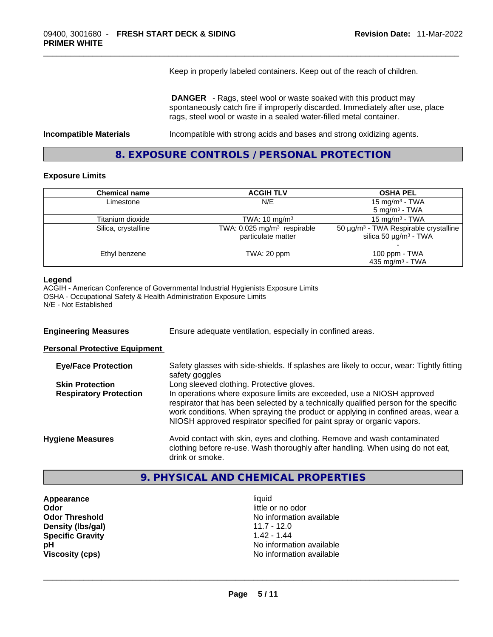Keep in properly labeled containers. Keep out of the reach of children.

 **DANGER** - Rags, steel wool or waste soaked with this product may spontaneously catch fire if improperly discarded. Immediately after use, place rags, steel wool or waste in a sealed water-filled metal container.

**Incompatible Materials** Incompatible with strong acids and bases and strong oxidizing agents.

### **8. EXPOSURE CONTROLS / PERSONAL PROTECTION**

#### **Exposure Limits**

| <b>Chemical name</b> | <b>ACGIH TLV</b>                                                | <b>OSHA PEL</b>                                                                                  |
|----------------------|-----------------------------------------------------------------|--------------------------------------------------------------------------------------------------|
| Limestone            | N/E                                                             | 15 mg/m <sup>3</sup> - TWA                                                                       |
|                      |                                                                 | $5 \text{ mg/m}^3$ - TWA                                                                         |
| Titanium dioxide     | TWA: $10 \text{ mg/m}^3$                                        | 15 mg/m $3$ - TWA                                                                                |
| Silica, crystalline  | TWA: $0.025$ mg/m <sup>3</sup> respirable<br>particulate matter | 50 $\mu$ g/m <sup>3</sup> - TWA Respirable crystalline<br>silica 50 $\mu$ g/m <sup>3</sup> - TWA |
| Ethyl benzene        | TWA: 20 ppm                                                     | 100 ppm $-$ TWA<br>435 mg/m <sup>3</sup> - TWA                                                   |

#### **Legend**

ACGIH - American Conference of Governmental Industrial Hygienists Exposure Limits OSHA - Occupational Safety & Health Administration Exposure Limits N/E - Not Established

**Engineering Measures** Ensure adequate ventilation, especially in confined areas.

#### **Personal Protective Equipment**

| <b>Eye/Face Protection</b>    | Safety glasses with side-shields. If splashes are likely to occur, wear: Tightly fitting<br>safety goggles                                                                                                                                                                                                                   |
|-------------------------------|------------------------------------------------------------------------------------------------------------------------------------------------------------------------------------------------------------------------------------------------------------------------------------------------------------------------------|
| <b>Skin Protection</b>        | Long sleeved clothing. Protective gloves.                                                                                                                                                                                                                                                                                    |
| <b>Respiratory Protection</b> | In operations where exposure limits are exceeded, use a NIOSH approved<br>respirator that has been selected by a technically qualified person for the specific<br>work conditions. When spraying the product or applying in confined areas, wear a<br>NIOSH approved respirator specified for paint spray or organic vapors. |
| <b>Hygiene Measures</b>       | Avoid contact with skin, eyes and clothing. Remove and wash contaminated<br>clothing before re-use. Wash thoroughly after handling. When using do not eat,<br>drink or smoke.                                                                                                                                                |

### **9. PHYSICAL AND CHEMICAL PROPERTIES**

**Appearance** liquid **Odor**<br> **Odor Threshold**<br> **Odor Threshold**<br> **Odor Threshold Density (Ibs/gal)** 11.7 - 12.0<br> **Specific Gravity** 1.42 - 1.44 **Specific Gravity** 

No information available<br>11.7 - 12.0 **pH pH No** information available **Viscosity (cps)** No information available \_\_\_\_\_\_\_\_\_\_\_\_\_\_\_\_\_\_\_\_\_\_\_\_\_\_\_\_\_\_\_\_\_\_\_\_\_\_\_\_\_\_\_\_\_\_\_\_\_\_\_\_\_\_\_\_\_\_\_\_\_\_\_\_\_\_\_\_\_\_\_\_\_\_\_\_\_\_\_\_\_\_\_\_\_\_\_\_\_\_\_\_\_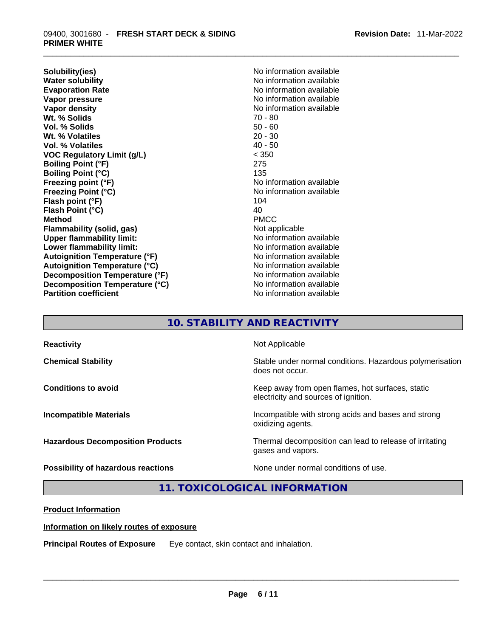**Solubility(ies)** No information available **Water solubility 19 and 19 and 19 and 19 and 19 and 19 and 19 and 19 and 19 and 19 and 19 and 19 and 19 and 19 and 19 and 19 and 19 and 19 and 19 and 19 and 19 and 19 and 19 and 19 and 19 and 19 and 19 and 19 and 19 and 1 Vapor pressure**  No information available **Vapor pressure No information available Vapor density No information available No information available Wt. % Solids** 70 - 80 **Vol. % Solids Wt. % Volatiles** 20 - 30 **Vol. % Volatiles VOC Regulatory Limit (g/L)** < 350 **Boiling Point (°F)** 275 **Boiling Point (°C)** 135 **Freezing point (°F)** The state of the state of the Noinformation available **Freezing Point (°C)** No information available **Flash point (°F)** 104 **Flash Point (°C)** 40 **Method** PMCC **Flammability (solid, gas)** Not applicable **Upper flammability limit:** No information available **Lower flammability limit:** No information available **Autoignition Temperature (°F)** No information available **Autoignition Temperature (°C)** No information available **Decomposition Temperature (°F)**<br> **Decomposition Temperature (°C)**<br>
No information available<br>
No information available **Decomposition Temperature (°C) Partition coefficient** No information available

**Evaporation Rate** No information available

### **10. STABILITY AND REACTIVITY**

| <b>Reactivity</b>                       | Not Applicable                                                                           |
|-----------------------------------------|------------------------------------------------------------------------------------------|
| <b>Chemical Stability</b>               | Stable under normal conditions. Hazardous polymerisation<br>does not occur.              |
| <b>Conditions to avoid</b>              | Keep away from open flames, hot surfaces, static<br>electricity and sources of ignition. |
| <b>Incompatible Materials</b>           | Incompatible with strong acids and bases and strong<br>oxidizing agents.                 |
| <b>Hazardous Decomposition Products</b> | Thermal decomposition can lead to release of irritating<br>gases and vapors.             |
| Possibility of hazardous reactions      | None under normal conditions of use.                                                     |

**11. TOXICOLOGICAL INFORMATION** 

#### **Product Information**

### **Information on likely routes of exposure**

**Principal Routes of Exposure** Eye contact, skin contact and inhalation. \_\_\_\_\_\_\_\_\_\_\_\_\_\_\_\_\_\_\_\_\_\_\_\_\_\_\_\_\_\_\_\_\_\_\_\_\_\_\_\_\_\_\_\_\_\_\_\_\_\_\_\_\_\_\_\_\_\_\_\_\_\_\_\_\_\_\_\_\_\_\_\_\_\_\_\_\_\_\_\_\_\_\_\_\_\_\_\_\_\_\_\_\_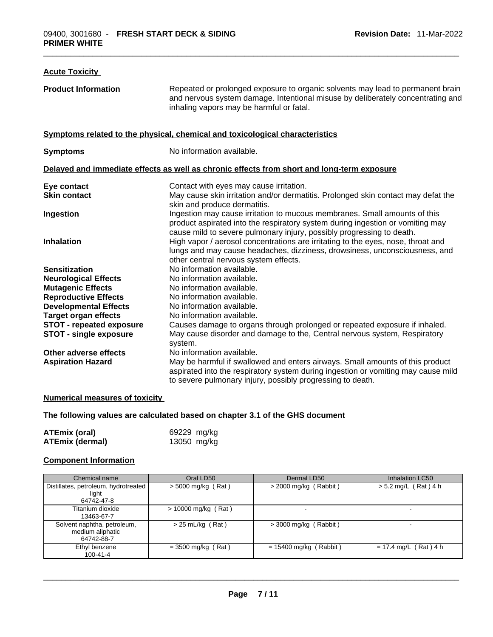### **Acute Toxicity Product Information** Repeated or prolonged exposure to organic solvents may lead to permanent brain and nervous system damage. Intentional misuse by deliberately concentrating and inhaling vapors may be harmful or fatal. **Symptoms related to the physical,chemical and toxicological characteristics Symptoms** No information available. **Delayed and immediate effects as well as chronic effects from short and long-term exposure Eye contact Contact With eyes may cause irritation. Skin contact May cause skin irritation and/or dermatitis. Prolonged skin contact may defat the** skin and produce dermatitis. **Ingestion** Ingestion may cause irritation to mucous membranes. Small amounts of this product aspirated into the respiratory system during ingestion or vomiting may cause mild to severe pulmonary injury, possibly progressing to death. **Inhalation High vapor / aerosol concentrations are irritating to the eyes, nose, throat and** lungs and may cause headaches, dizziness, drowsiness, unconsciousness, and other central nervous system effects. **Sensitization No information available. Neurological Effects** No information available. **Mutagenic Effects** No information available. **Reproductive Effects** No information available. **Developmental Effects** No information available. **Target organ effects** No information available. **STOT - repeated exposure** Causes damage to organs through prolonged or repeated exposure if inhaled. **STOT - single exposure** May cause disorder and damage to the, Central nervous system, Respiratory system. **Other adverse effects** No information available. **Aspiration Hazard** May be harmful if swallowed and enters airways. Small amounts of this product aspirated into the respiratory system during ingestion or vomiting may cause mild to severe pulmonary injury, possibly progressing to death.

#### **Numerical measures of toxicity**

#### **The following values are calculated based on chapter 3.1 of the GHS document**

| ATEmix (oral)          | 69229 mg/kg |
|------------------------|-------------|
| <b>ATEmix (dermal)</b> | 13050 mg/kg |

#### **Component Information**

| Chemical name                                                 | Oral LD50             | Dermal LD50              | Inhalation LC50         |
|---------------------------------------------------------------|-----------------------|--------------------------|-------------------------|
| Distillates, petroleum, hydrotreated<br>light<br>64742-47-8   | $>$ 5000 mg/kg (Rat)  | $>$ 2000 mg/kg (Rabbit)  | $> 5.2$ mg/L (Rat) 4 h  |
| Titanium dioxide<br>13463-67-7                                | $> 10000$ mg/kg (Rat) |                          | -                       |
| Solvent naphtha, petroleum,<br>medium aliphatic<br>64742-88-7 | $> 25$ mL/kg (Rat)    | $>$ 3000 mg/kg (Rabbit)  | -                       |
| Ethyl benzene<br>100-41-4                                     | $=$ 3500 mg/kg (Rat)  | $= 15400$ mg/kg (Rabbit) | $= 17.4$ mg/L (Rat) 4 h |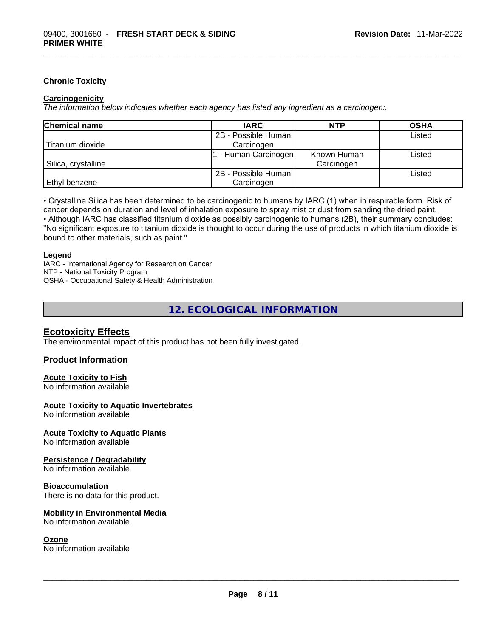#### **Chronic Toxicity**

#### **Carcinogenicity**

*The information below indicates whether each agency has listed any ingredient as a carcinogen:.* 

| <b>Chemical name</b> | <b>IARC</b>          | <b>NTP</b>  | <b>OSHA</b> |
|----------------------|----------------------|-------------|-------------|
|                      | 2B - Possible Human  |             | Listed      |
| Titanium dioxide     | Carcinogen           |             |             |
|                      | 1 - Human Carcinogen | Known Human | Listed      |
| Silica, crystalline  |                      | Carcinogen  |             |
|                      | 2B - Possible Human  |             | Listed      |
| Ethyl benzene        | Carcinogen           |             |             |

• Crystalline Silica has been determined to be carcinogenic to humans by IARC (1) when in respirable form. Risk of cancer depends on duration and level of inhalation exposure to spray mist or dust from sanding the dried paint.• Although IARC has classified titanium dioxide as possibly carcinogenic to humans (2B), their summary concludes: "No significant exposure to titanium dioxide is thought to occur during the use of products in which titanium dioxide is bound to other materials, such as paint."

#### **Legend**

IARC - International Agency for Research on Cancer NTP - National Toxicity Program OSHA - Occupational Safety & Health Administration

### **12. ECOLOGICAL INFORMATION**

#### **Ecotoxicity Effects**

The environmental impact of this product has not been fully investigated.

#### **Product Information**

#### **Acute Toxicity to Fish**

No information available

#### **Acute Toxicity to Aquatic Invertebrates**

No information available

#### **Acute Toxicity to Aquatic Plants**

No information available

#### **Persistence / Degradability**

No information available.

#### **Bioaccumulation**

There is no data for this product.

# **Mobility in Environmental Media**

#### **Ozone**

No information available. \_\_\_\_\_\_\_\_\_\_\_\_\_\_\_\_\_\_\_\_\_\_\_\_\_\_\_\_\_\_\_\_\_\_\_\_\_\_\_\_\_\_\_\_\_\_\_\_\_\_\_\_\_\_\_\_\_\_\_\_\_\_\_\_\_\_\_\_\_\_\_\_\_\_\_\_\_\_\_\_\_\_\_\_\_\_\_\_\_\_\_\_\_ No information available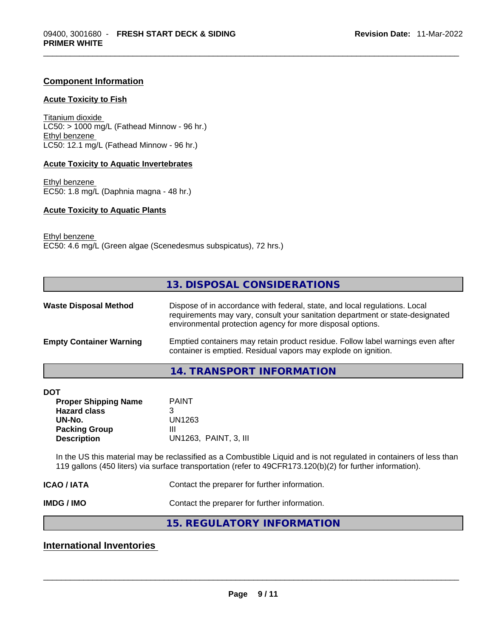#### **Component Information**

#### **Acute Toxicity to Fish**

Titanium dioxide  $LC50:$  > 1000 mg/L (Fathead Minnow - 96 hr.) Ethyl benzene LC50: 12.1 mg/L (Fathead Minnow - 96 hr.)

#### **Acute Toxicity to Aquatic Invertebrates**

Ethyl benzene EC50: 1.8 mg/L (Daphnia magna - 48 hr.)

#### **Acute Toxicity to Aquatic Plants**

Ethyl benzene EC50: 4.6 mg/L (Green algae (Scenedesmus subspicatus), 72 hrs.)

#### **13. DISPOSAL CONSIDERATIONS**

| <b>Waste Disposal Method</b>   | Dispose of in accordance with federal, state, and local regulations. Local<br>requirements may vary, consult your sanitation department or state-designated<br>environmental protection agency for more disposal options. |
|--------------------------------|---------------------------------------------------------------------------------------------------------------------------------------------------------------------------------------------------------------------------|
| <b>Empty Container Warning</b> | Emptied containers may retain product residue. Follow label warnings even after<br>container is emptied. Residual vapors may explode on ignition.                                                                         |

#### **14. TRANSPORT INFORMATION**

| DOT                         |                       |  |
|-----------------------------|-----------------------|--|
| <b>Proper Shipping Name</b> | <b>PAINT</b>          |  |
| <b>Hazard class</b>         | 3                     |  |
| UN-No.                      | UN1263                |  |
| <b>Packing Group</b>        | Ш                     |  |
| <b>Description</b>          | UN1263, PAINT, 3, III |  |
|                             |                       |  |

In the US this material may be reclassified as a Combustible Liquid and is not regulated in containers of less than 119 gallons (450 liters) via surface transportation (refer to 49CFR173.120(b)(2) for further information).

**ICAO / IATA Contact the preparer for further information.** 

**IMDG / IMO Contact the preparer for further information.** 

**15. REGULATORY INFORMATION** 

### **International Inventories**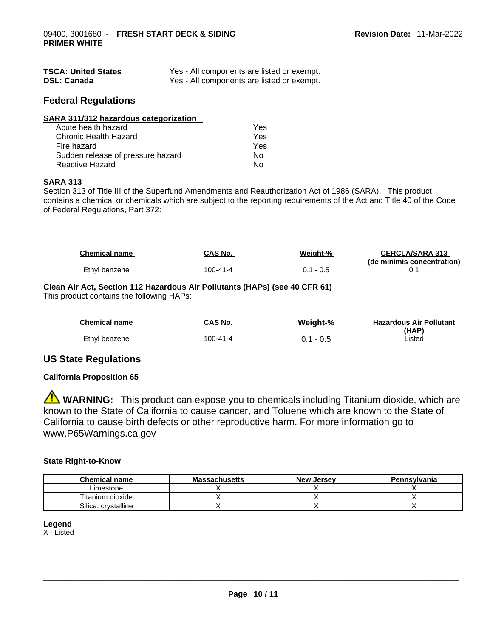| <b>TSCA: United States</b> | Yes - All components are listed or exempt. |
|----------------------------|--------------------------------------------|
| <b>DSL: Canada</b>         | Yes - All components are listed or exempt. |

### **Federal Regulations**

| SARA 311/312 hazardous categorization |     |  |
|---------------------------------------|-----|--|
| Acute health hazard                   | Yes |  |
| Chronic Health Hazard                 | Yes |  |
| Fire hazard                           | Yes |  |
| Sudden release of pressure hazard     | No  |  |
| Reactive Hazard                       | No  |  |

### **SARA 313**

Section 313 of Title III of the Superfund Amendments and Reauthorization Act of 1986 (SARA). This product contains a chemical or chemicals which are subject to the reporting requirements of the Act and Title 40 of the Code of Federal Regulations, Part 372:

| <b>Chemical name</b>                                                                                                    | <b>CAS No.</b> | Weight-%    | <b>CERCLA/SARA 313</b><br>(de minimis concentration) |
|-------------------------------------------------------------------------------------------------------------------------|----------------|-------------|------------------------------------------------------|
| Ethyl benzene                                                                                                           | $100 - 41 - 4$ | $0.1 - 0.5$ | 0.1                                                  |
| Clean Air Act, Section 112 Hazardous Air Pollutants (HAPs) (see 40 CFR 61)<br>This product contains the following HAPs: |                |             |                                                      |
| <b>Chemical name</b>                                                                                                    | CAS No.        | Weight-%    | <b>Hazardous Air Pollutant</b>                       |
| Ethyl benzene                                                                                                           | $100 - 41 - 4$ | $0.1 - 0.5$ | (HAP)<br>Listed                                      |
|                                                                                                                         |                |             |                                                      |

### **US State Regulations**

#### **California Proposition 65**

**WARNING:** This product can expose you to chemicals including Titanium dioxide, which are known to the State of California to cause cancer, and Toluene which are known to the State of California to cause birth defects or other reproductive harm. For more information go to www.P65Warnings.ca.gov

#### **State Right-to-Know**

| <b>Chemical name</b> | <b>Massachusetts</b> | <b>New Jersey</b> | <b>Pennsylvania</b> |
|----------------------|----------------------|-------------------|---------------------|
| Limestone            |                      |                   |                     |
| Titanium dioxide     |                      |                   |                     |
| Silica, crystalline  |                      |                   |                     |

#### **Legend**

X - Listed